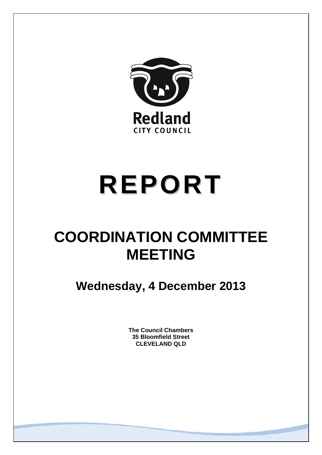

# **REPORT**

## **COORDINATION COMMITTEE MEETING**

**Wednesday, 4 December 2013** 

**The Council Chambers 35 Bloomfield Street CLEVELAND QLD**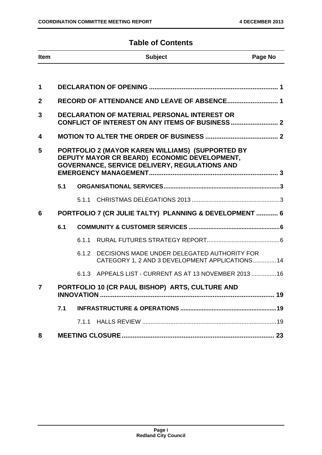### **Table of Contents**

| <b>Item</b>  |                                                                                                                                                   |       | <b>Subject</b>                                                                                 | Page No |
|--------------|---------------------------------------------------------------------------------------------------------------------------------------------------|-------|------------------------------------------------------------------------------------------------|---------|
|              |                                                                                                                                                   |       |                                                                                                |         |
| $\mathbf 1$  |                                                                                                                                                   |       |                                                                                                |         |
| $\mathbf{2}$ |                                                                                                                                                   |       | RECORD OF ATTENDANCE AND LEAVE OF ABSENCE 1                                                    |         |
| 3            |                                                                                                                                                   |       | DECLARATION OF MATERIAL PERSONAL INTEREST OR                                                   |         |
| 4            |                                                                                                                                                   |       |                                                                                                |         |
| 5            | PORTFOLIO 2 (MAYOR KAREN WILLIAMS) (SUPPORTED BY<br>DEPUTY MAYOR CR BEARD) ECONOMIC DEVELOPMENT,<br>GOVERNANCE, SERVICE DELIVERY, REGULATIONS AND |       |                                                                                                |         |
|              | 5.1                                                                                                                                               |       |                                                                                                |         |
|              |                                                                                                                                                   |       |                                                                                                |         |
| 6            |                                                                                                                                                   |       | PORTFOLIO 7 (CR JULIE TALTY) PLANNING & DEVELOPMENT  6                                         |         |
|              | 6.1                                                                                                                                               |       |                                                                                                |         |
|              |                                                                                                                                                   | 6.1.1 |                                                                                                |         |
|              |                                                                                                                                                   | 6.1.2 | DECISIONS MADE UNDER DELEGATED AUTHORITY FOR<br>CATEGORY 1, 2 AND 3 DEVELOPMENT APPLICATIONS14 |         |
|              |                                                                                                                                                   |       | 6.1.3 APPEALS LIST - CURRENT AS AT 13 NOVEMBER 2013  16                                        |         |
| 7            |                                                                                                                                                   |       | PORTFOLIO 10 (CR PAUL BISHOP) ARTS, CULTURE AND                                                |         |
|              | 7.1                                                                                                                                               |       |                                                                                                |         |
|              |                                                                                                                                                   | 7.1.1 |                                                                                                |         |
| 8            |                                                                                                                                                   |       |                                                                                                |         |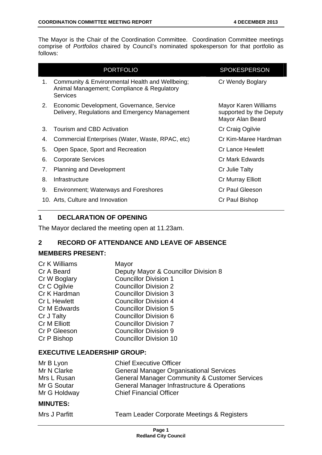The Mayor is the Chair of the Coordination Committee. Coordination Committee meetings comprise of *Portfolios* chaired by Council's nominated spokesperson for that portfolio as follows:

|    | <b>PORTFOLIO</b>                                                                                                 | <b>SPOKESPERSON</b>                                                 |
|----|------------------------------------------------------------------------------------------------------------------|---------------------------------------------------------------------|
| 1. | Community & Environmental Health and Wellbeing;<br>Animal Management; Compliance & Regulatory<br><b>Services</b> | Cr Wendy Boglary                                                    |
| 2. | Economic Development, Governance, Service<br>Delivery, Regulations and Emergency Management                      | Mayor Karen Williams<br>supported by the Deputy<br>Mayor Alan Beard |
| 3. | Tourism and CBD Activation                                                                                       | Cr Craig Ogilvie                                                    |
| 4. | Commercial Enterprises (Water, Waste, RPAC, etc)                                                                 | Cr Kim-Maree Hardman                                                |
| 5. | Open Space, Sport and Recreation                                                                                 | <b>Cr Lance Hewlett</b>                                             |
| 6. | <b>Corporate Services</b>                                                                                        | Cr Mark Edwards                                                     |
| 7. | <b>Planning and Development</b>                                                                                  | Cr Julie Talty                                                      |
| 8. | Infrastructure                                                                                                   | Cr Murray Elliott                                                   |
| 9. | <b>Environment; Waterways and Foreshores</b>                                                                     | <b>Cr Paul Gleeson</b>                                              |
|    | 10. Arts, Culture and Innovation                                                                                 | Cr Paul Bishop                                                      |

#### **1 DECLARATION OF OPENING**

The Mayor declared the meeting open at 11.23am.

#### **2 RECORD OF ATTENDANCE AND LEAVE OF ABSENCE**

#### **MEMBERS PRESENT:**

| Cr K Williams       | Mayor                                |
|---------------------|--------------------------------------|
| Cr A Beard          | Deputy Mayor & Councillor Division 8 |
| Cr W Boglary        | <b>Councillor Division 1</b>         |
| Cr C Ogilvie        | <b>Councillor Division 2</b>         |
| Cr K Hardman        | <b>Councillor Division 3</b>         |
| <b>Cr L Hewlett</b> | <b>Councillor Division 4</b>         |
| Cr M Edwards        | <b>Councillor Division 5</b>         |
| Cr J Talty          | <b>Councillor Division 6</b>         |
| Cr M Elliott        | <b>Councillor Division 7</b>         |
| Cr P Gleeson        | <b>Councillor Division 9</b>         |
| Cr P Bishop         | <b>Councillor Division 10</b>        |
|                     |                                      |

#### **EXECUTIVE LEADERSHIP GROUP:**

| Mr B Lyon    | <b>Chief Executive Officer</b>                           |
|--------------|----------------------------------------------------------|
| Mr N Clarke  | <b>General Manager Organisational Services</b>           |
| Mrs L Rusan  | <b>General Manager Community &amp; Customer Services</b> |
| Mr G Soutar  | General Manager Infrastructure & Operations              |
| Mr G Holdway | <b>Chief Financial Officer</b>                           |

#### **MINUTES:**

|  | Mrs J Parfitt |
|--|---------------|
|  |               |

Team Leader Corporate Meetings & Registers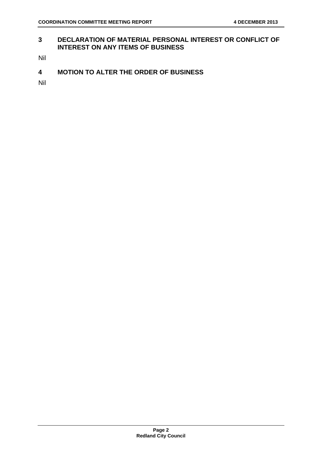#### **3 DECLARATION OF MATERIAL PERSONAL INTEREST OR CONFLICT OF INTEREST ON ANY ITEMS OF BUSINESS**

Nil

#### **4 MOTION TO ALTER THE ORDER OF BUSINESS**

Nil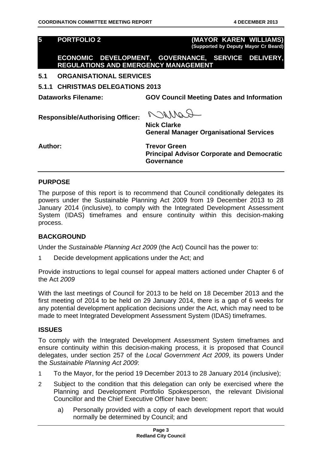**5 PORTFOLIO 2 (MAYOR KAREN WILLIAMS) (Supported by Deputy Mayor Cr Beard)**

**ECONOMIC DEVELOPMENT, GOVERNANCE, SERVICE DELIVERY, REGULATIONS AND EMERGENCY MANAGEMENT** 

#### **5.1 ORGANISATIONAL SERVICES**

**5.1.1 CHRISTMAS DELEGATIONS 2013** 

**Dataworks Filename: GOV Council Meeting Dates and Information** 

**Responsible/Authorising Officer:** 

ROMACO

**Nick Clarke General Manager Organisational Services** 

Author: Trevor Green **Principal Advisor Corporate and Democratic Governance** 

#### **PURPOSE**

The purpose of this report is to recommend that Council conditionally delegates its powers under the Sustainable Planning Act 2009 from 19 December 2013 to 28 January 2014 (inclusive), to comply with the Integrated Development Assessment System (IDAS) timeframes and ensure continuity within this decision-making process.

#### **BACKGROUND**

Under the *Sustainable Planning Act 2009* (the Act) Council has the power to:

1 Decide development applications under the Act; and

Provide instructions to legal counsel for appeal matters actioned under Chapter 6 of the Act *2009*

With the last meetings of Council for 2013 to be held on 18 December 2013 and the first meeting of 2014 to be held on 29 January 2014, there is a gap of 6 weeks for any potential development application decisions under the Act, which may need to be made to meet Integrated Development Assessment System (IDAS) timeframes.

#### **ISSUES**

To comply with the Integrated Development Assessment System timeframes and ensure continuity within this decision-making process, it is proposed that Council delegates, under section 257 of the *Local Government Act 2009*, its powers Under the *Sustainable Planning Act 2009*:

- 1 To the Mayor, for the period 19 December 2013 to 28 January 2014 (inclusive);
- 2 Subject to the condition that this delegation can only be exercised where the Planning and Development Portfolio Spokesperson, the relevant Divisional Councillor and the Chief Executive Officer have been:
	- a) Personally provided with a copy of each development report that would normally be determined by Council; and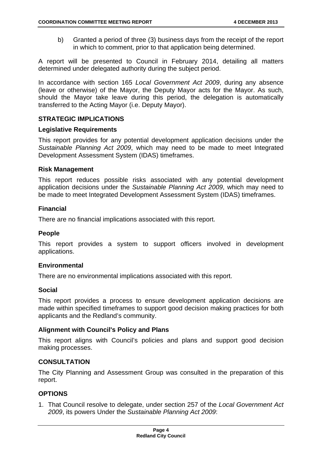b) Granted a period of three (3) business days from the receipt of the report in which to comment, prior to that application being determined.

A report will be presented to Council in February 2014, detailing all matters determined under delegated authority during the subject period.

In accordance with section 165 *Local Government Act 2009*, during any absence (leave or otherwise) of the Mayor, the Deputy Mayor acts for the Mayor. As such, should the Mayor take leave during this period, the delegation is automatically transferred to the Acting Mayor (i.e. Deputy Mayor).

#### **STRATEGIC IMPLICATIONS**

#### **Legislative Requirements**

This report provides for any potential development application decisions under the *Sustainable Planning Act 2009*, which may need to be made to meet Integrated Development Assessment System (IDAS) timeframes.

#### **Risk Management**

This report reduces possible risks associated with any potential development application decisions under the *Sustainable Planning Act 2009*, which may need to be made to meet Integrated Development Assessment System (IDAS) timeframes.

#### **Financial**

There are no financial implications associated with this report.

#### **People**

This report provides a system to support officers involved in development applications.

#### **Environmental**

There are no environmental implications associated with this report.

#### **Social**

This report provides a process to ensure development application decisions are made within specified timeframes to support good decision making practices for both applicants and the Redland's community.

#### **Alignment with Council's Policy and Plans**

This report aligns with Council's policies and plans and support good decision making processes.

#### **CONSULTATION**

The City Planning and Assessment Group was consulted in the preparation of this report.

#### **OPTIONS**

1. That Council resolve to delegate, under section 257 of the *Local Government Act 2009*, its powers Under the *Sustainable Planning Act 2009*: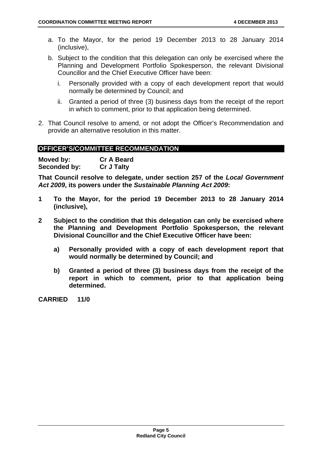- a. To the Mayor, for the period 19 December 2013 to 28 January 2014 (inclusive),
- b. Subject to the condition that this delegation can only be exercised where the Planning and Development Portfolio Spokesperson, the relevant Divisional Councillor and the Chief Executive Officer have been:
	- i. Personally provided with a copy of each development report that would normally be determined by Council; and
	- ii. Granted a period of three (3) business days from the receipt of the report in which to comment, prior to that application being determined.
- 2. That Council resolve to amend, or not adopt the Officer's Recommendation and provide an alternative resolution in this matter.

#### **OFFICER'S/COMMITTEE RECOMMENDATION**

| Moved by:    | <b>Cr A Beard</b> |
|--------------|-------------------|
| Seconded by: | <b>Cr J Talty</b> |

**That Council resolve to delegate, under section 257 of the** *Local Government Act 2009***, its powers under the** *Sustainable Planning Act 2009***:**

- **1 To the Mayor, for the period 19 December 2013 to 28 January 2014 (inclusive),**
- **2 Subject to the condition that this delegation can only be exercised where the Planning and Development Portfolio Spokesperson, the relevant Divisional Councillor and the Chief Executive Officer have been:** 
	- **a) Personally provided with a copy of each development report that would normally be determined by Council; and**
	- **b) Granted a period of three (3) business days from the receipt of the report in which to comment, prior to that application being determined.**

**CARRIED 11/0**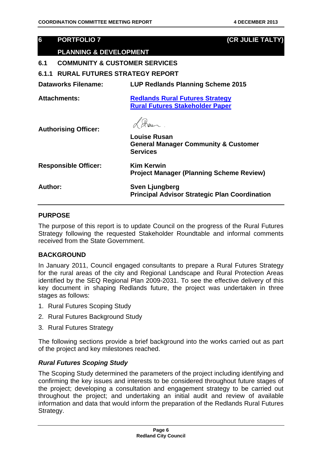#### **6 PORTFOLIO 7 (CR JULIE TALTY)**

#### **PLANNING & DEVELOPMENT**

**6.1 COMMUNITY & CUSTOMER SERVICES** 

#### **6.1.1 RURAL FUTURES STRATEGY REPORT**

| <b>Dataworks Filename:</b> | LUP Redlands Planning Scheme 2015  |
|----------------------------|------------------------------------|
| Atta alama amia .          | Baillerich Brust Ertruss Stustenri |

**Attachments: Redlands Rural Futures Strategy Rural Futures Stakeholder Paper**

**Authorising Officer:** 

|                             | <b>Louise Rusan</b><br><b>General Manager Community &amp; Customer</b><br><b>Services</b> |
|-----------------------------|-------------------------------------------------------------------------------------------|
| <b>Responsible Officer:</b> | <b>Kim Kerwin</b><br><b>Project Manager (Planning Scheme Review)</b>                      |
| Author:                     | Sven Ljungberg<br><b>Principal Advisor Strategic Plan Coordination</b>                    |

#### **PURPOSE**

The purpose of this report is to update Council on the progress of the Rural Futures Strategy following the requested Stakeholder Roundtable and informal comments received from the State Government.

#### **BACKGROUND**

In January 2011, Council engaged consultants to prepare a Rural Futures Strategy for the rural areas of the city and Regional Landscape and Rural Protection Areas identified by the SEQ Regional Plan 2009-2031. To see the effective delivery of this key document in shaping Redlands future, the project was undertaken in three stages as follows:

- 1. Rural Futures Scoping Study
- 2. Rural Futures Background Study
- 3. Rural Futures Strategy

The following sections provide a brief background into the works carried out as part of the project and key milestones reached.

#### *Rural Futures Scoping Study*

The Scoping Study determined the parameters of the project including identifying and confirming the key issues and interests to be considered throughout future stages of the project; developing a consultation and engagement strategy to be carried out throughout the project; and undertaking an initial audit and review of available information and data that would inform the preparation of the Redlands Rural Futures Strategy.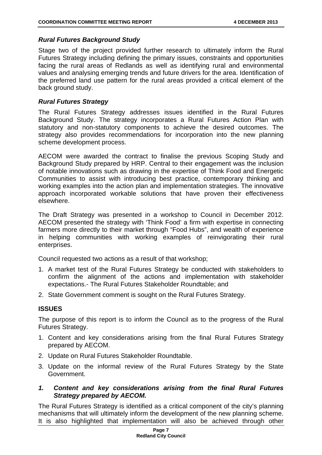#### *Rural Futures Background Study*

Stage two of the project provided further research to ultimately inform the Rural Futures Strategy including defining the primary issues, constraints and opportunities facing the rural areas of Redlands as well as identifying rural and environmental values and analysing emerging trends and future drivers for the area. Identification of the preferred land use pattern for the rural areas provided a critical element of the back ground study.

#### *Rural Futures Strategy*

The Rural Futures Strategy addresses issues identified in the Rural Futures Background Study. The strategy incorporates a Rural Futures Action Plan with statutory and non-statutory components to achieve the desired outcomes. The strategy also provides recommendations for incorporation into the new planning scheme development process.

AECOM were awarded the contract to finalise the previous Scoping Study and Background Study prepared by HRP. Central to their engagement was the inclusion of notable innovations such as drawing in the expertise of Think Food and Energetic Communities to assist with introducing best practice, contemporary thinking and working examples into the action plan and implementation strategies. The innovative approach incorporated workable solutions that have proven their effectiveness elsewhere.

The Draft Strategy was presented in a workshop to Council in December 2012. AECOM presented the strategy with 'Think Food' a firm with expertise in connecting farmers more directly to their market through "Food Hubs", and wealth of experience in helping communities with working examples of reinvigorating their rural enterprises.

Council requested two actions as a result of that workshop;

- 1. A market test of the Rural Futures Strategy be conducted with stakeholders to confirm the alignment of the actions and implementation with stakeholder expectations.- The Rural Futures Stakeholder Roundtable; and
- 2. State Government comment is sought on the Rural Futures Strategy.

#### **ISSUES**

The purpose of this report is to inform the Council as to the progress of the Rural Futures Strategy.

- 1. Content and key considerations arising from the final Rural Futures Strategy prepared by AECOM.
- 2. Update on Rural Futures Stakeholder Roundtable.
- 3. Update on the informal review of the Rural Futures Strategy by the State Government.
- *1. Content and key considerations arising from the final Rural Futures Strategy prepared by AECOM.*

The Rural Futures Strategy is identified as a critical component of the city's planning mechanisms that will ultimately inform the development of the new planning scheme. It is also highlighted that implementation will also be achieved through other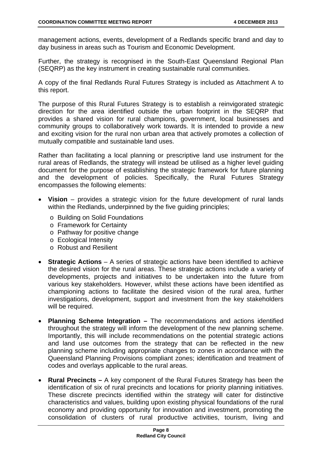management actions, events, development of a Redlands specific brand and day to day business in areas such as Tourism and Economic Development.

Further, the strategy is recognised in the South-East Queensland Regional Plan (SEQRP) as the key instrument in creating sustainable rural communities.

A copy of the final Redlands Rural Futures Strategy is included as Attachment A to this report.

The purpose of this Rural Futures Strategy is to establish a reinvigorated strategic direction for the area identified outside the urban footprint in the SEQRP that provides a shared vision for rural champions, government, local businesses and community groups to collaboratively work towards. It is intended to provide a new and exciting vision for the rural non urban area that actively promotes a collection of mutually compatible and sustainable land uses.

Rather than facilitating a local planning or prescriptive land use instrument for the rural areas of Redlands, the strategy will instead be utilised as a higher level guiding document for the purpose of establishing the strategic framework for future planning and the development of policies. Specifically, the Rural Futures Strategy encompasses the following elements:

- **Vision** provides a strategic vision for the future development of rural lands within the Redlands, underpinned by the five guiding principles;
	- o Building on Solid Foundations
	- o Framework for Certainty
	- o Pathway for positive change
	- o Ecological Intensity
	- o Robust and Resilient
- **Strategic Actions** A series of strategic actions have been identified to achieve the desired vision for the rural areas. These strategic actions include a variety of developments, projects and initiatives to be undertaken into the future from various key stakeholders. However, whilst these actions have been identified as championing actions to facilitate the desired vision of the rural area, further investigations, development, support and investment from the key stakeholders will be required.
- **Planning Scheme Integration** The recommendations and actions identified throughout the strategy will inform the development of the new planning scheme. Importantly, this will include recommendations on the potential strategic actions and land use outcomes from the strategy that can be reflected in the new planning scheme including appropriate changes to zones in accordance with the Queensland Planning Provisions compliant zones; identification and treatment of codes and overlays applicable to the rural areas.
- **Rural Precincts** A key component of the Rural Futures Strategy has been the identification of six of rural precincts and locations for priority planning initiatives. These discrete precincts identified within the strategy will cater for distinctive characteristics and values, building upon existing physical foundations of the rural economy and providing opportunity for innovation and investment, promoting the consolidation of clusters of rural productive activities, tourism, living and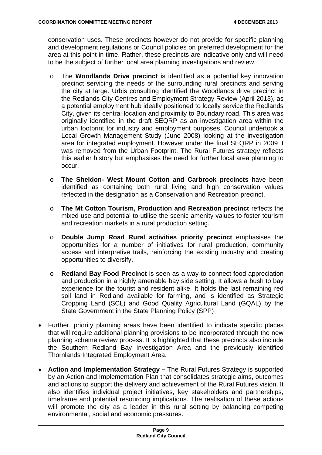conservation uses. These precincts however do not provide for specific planning and development regulations or Council policies on preferred development for the area at this point in time. Rather, these precincts are indicative only and will need to be the subject of further local area planning investigations and review.

- o The **Woodlands Drive precinct** is identified as a potential key innovation precinct servicing the needs of the surrounding rural precincts and serving the city at large. Urbis consulting identified the Woodlands drive precinct in the Redlands City Centres and Employment Strategy Review (April 2013), as a potential employment hub ideally positioned to locally service the Redlands City, given its central location and proximity to Boundary road. This area was originally identified in the draft SEQRP as an investigation area within the urban footprint for industry and employment purposes. Council undertook a Local Growth Management Study (June 2008) looking at the investigation area for integrated employment. However under the final SEQRP in 2009 it was removed from the Urban Footprint. The Rural Futures strategy reflects this earlier history but emphasises the need for further local area planning to occur.
- o **The Sheldon- West Mount Cotton and Carbrook precincts** have been identified as containing both rural living and high conservation values reflected in the designation as a Conservation and Recreation precinct.
- o **The Mt Cotton Tourism, Production and Recreation precinct** reflects the mixed use and potential to utilise the scenic amenity values to foster tourism and recreation markets in a rural production setting.
- o **Double Jump Road Rural activities priority precinct** emphasises the opportunities for a number of initiatives for rural production, community access and interpretive trails, reinforcing the existing industry and creating opportunities to diversify.
- o **Redland Bay Food Precinct** is seen as a way to connect food appreciation and production in a highly amenable bay side setting. It allows a bush to bay experience for the tourist and resident alike. It holds the last remaining red soil land in Redland available for farming, and is identified as Strategic Cropping Land (SCL) and Good Quality Agricultural Land (GQAL) by the State Government in the State Planning Policy (SPP)
- Further, priority planning areas have been identified to indicate specific places that will require additional planning provisions to be incorporated through the new planning scheme review process. It is highlighted that these precincts also include the Southern Redland Bay Investigation Area and the previously identified Thornlands Integrated Employment Area.
- **Action and Implementation Strategy** The Rural Futures Strategy is supported by an Action and Implementation Plan that consolidates strategic aims, outcomes and actions to support the delivery and achievement of the Rural Futures vision. It also identifies individual project initiatives, key stakeholders and partnerships, timeframe and potential resourcing implications. The realisation of these actions will promote the city as a leader in this rural setting by balancing competing environmental, social and economic pressures.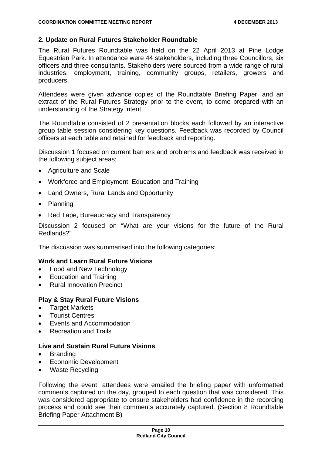#### **2. Update on Rural Futures Stakeholder Roundtable**

The Rural Futures Roundtable was held on the 22 April 2013 at Pine Lodge Equestrian Park. In attendance were 44 stakeholders, including three Councillors, six officers and three consultants. Stakeholders were sourced from a wide range of rural industries, employment, training, community groups, retailers, growers and producers.

Attendees were given advance copies of the Roundtable Briefing Paper, and an extract of the Rural Futures Strategy prior to the event, to come prepared with an understanding of the Strategy intent.

The Roundtable consisted of 2 presentation blocks each followed by an interactive group table session considering key questions. Feedback was recorded by Council officers at each table and retained for feedback and reporting.

Discussion 1 focused on current barriers and problems and feedback was received in the following subject areas;

- Agriculture and Scale
- Workforce and Employment, Education and Training
- Land Owners, Rural Lands and Opportunity
- Planning
- Red Tape, Bureaucracy and Transparency

Discussion 2 focused on "What are your visions for the future of the Rural Redlands?"

The discussion was summarised into the following categories:

#### **Work and Learn Rural Future Visions**

- Food and New Technology
- Education and Training
- Rural Innovation Precinct

#### **Play & Stay Rural Future Visions**

- Target Markets
- Tourist Centres
- Events and Accommodation
- Recreation and Trails

#### **Live and Sustain Rural Future Visions**

- Branding
- Economic Development
- Waste Recycling

Following the event, attendees were emailed the briefing paper with unformatted comments captured on the day, grouped to each question that was considered. This was considered appropriate to ensure stakeholders had confidence in the recording process and could see their comments accurately captured. (Section 8 Roundtable Briefing Paper Attachment B)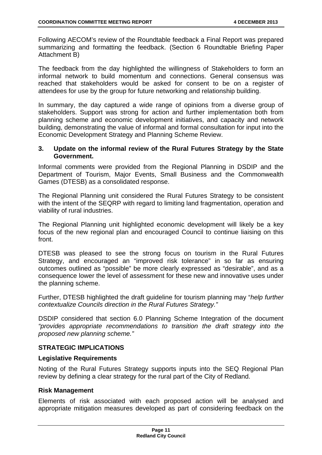Following AECOM's review of the Roundtable feedback a Final Report was prepared summarizing and formatting the feedback. (Section 6 Roundtable Briefing Paper Attachment B)

The feedback from the day highlighted the willingness of Stakeholders to form an informal network to build momentum and connections. General consensus was reached that stakeholders would be asked for consent to be on a register of attendees for use by the group for future networking and relationship building.

In summary, the day captured a wide range of opinions from a diverse group of stakeholders. Support was strong for action and further implementation both from planning scheme and economic development initiatives, and capacity and network building, demonstrating the value of informal and formal consultation for input into the Economic Development Strategy and Planning Scheme Review.

#### **3. Update on the informal review of the Rural Futures Strategy by the State Government.**

Informal comments were provided from the Regional Planning in DSDIP and the Department of Tourism, Major Events, Small Business and the Commonwealth Games (DTESB) as a consolidated response.

The Regional Planning unit considered the Rural Futures Strategy to be consistent with the intent of the SEQRP with regard to limiting land fragmentation, operation and viability of rural industries.

The Regional Planning unit highlighted economic development will likely be a key focus of the new regional plan and encouraged Council to continue liaising on this front.

DTESB was pleased to see the strong focus on tourism in the Rural Futures Strategy, and encouraged an "improved risk tolerance" in so far as ensuring outcomes outlined as "possible" be more clearly expressed as "desirable", and as a consequence lower the level of assessment for these new and innovative uses under the planning scheme.

Further, DTESB highlighted the draft guideline for tourism planning may "*help further contextualize Councils direction in the Rural Futures Strategy."* 

DSDIP considered that section 6.0 Planning Scheme Integration of the document *"provides appropriate recommendations to transition the draft strategy into the proposed new planning scheme."*

#### **STRATEGIC IMPLICATIONS**

#### **Legislative Requirements**

Noting of the Rural Futures Strategy supports inputs into the SEQ Regional Plan review by defining a clear strategy for the rural part of the City of Redland.

#### **Risk Management**

Elements of risk associated with each proposed action will be analysed and appropriate mitigation measures developed as part of considering feedback on the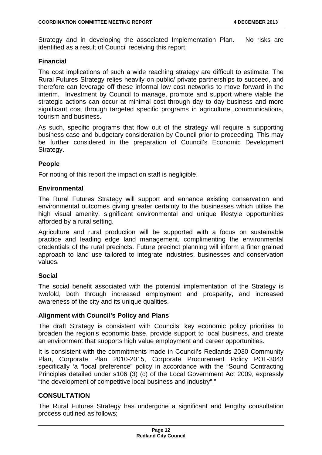Strategy and in developing the associated Implementation Plan. No risks are identified as a result of Council receiving this report.

#### **Financial**

The cost implications of such a wide reaching strategy are difficult to estimate. The Rural Futures Strategy relies heavily on public/ private partnerships to succeed, and therefore can leverage off these informal low cost networks to move forward in the interim. Investment by Council to manage, promote and support where viable the strategic actions can occur at minimal cost through day to day business and more significant cost through targeted specific programs in agriculture, communications, tourism and business.

As such, specific programs that flow out of the strategy will require a supporting business case and budgetary consideration by Council prior to proceeding. This may be further considered in the preparation of Council's Economic Development Strategy.

#### **People**

For noting of this report the impact on staff is negligible.

#### **Environmental**

The Rural Futures Strategy will support and enhance existing conservation and environmental outcomes giving greater certainty to the businesses which utilise the high visual amenity, significant environmental and unique lifestyle opportunities afforded by a rural setting.

Agriculture and rural production will be supported with a focus on sustainable practice and leading edge land management, complimenting the environmental credentials of the rural precincts. Future precinct planning will inform a finer grained approach to land use tailored to integrate industries, businesses and conservation values.

#### **Social**

The social benefit associated with the potential implementation of the Strategy is twofold, both through increased employment and prosperity, and increased awareness of the city and its unique qualities.

#### **Alignment with Council's Policy and Plans**

The draft Strategy is consistent with Councils' key economic policy priorities to broaden the region's economic base, provide support to local business, and create an environment that supports high value employment and career opportunities.

It is consistent with the commitments made in Council's Redlands 2030 Community Plan, Corporate Plan 2010-2015, Corporate Procurement Policy POL-3043 specifically 'a "local preference" policy in accordance with the "Sound Contracting Principles detailed under s106 (3) (c) of the Local Government Act 2009, expressly "the development of competitive local business and industry"."

#### **CONSULTATION**

The Rural Futures Strategy has undergone a significant and lengthy consultation process outlined as follows;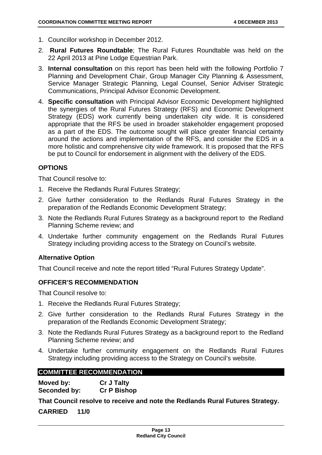- 1. Councillor workshop in December 2012.
- 2. **Rural Futures Roundtable**; The Rural Futures Roundtable was held on the 22 April 2013 at Pine Lodge Equestrian Park.
- 3. **Internal consultation** on this report has been held with the following Portfolio 7 Planning and Development Chair, Group Manager City Planning & Assessment, Service Manager Strategic Planning, Legal Counsel, Senior Adviser Strategic Communications, Principal Advisor Economic Development.
- 4. **Specific consultation** with Principal Advisor Economic Development highlighted the synergies of the Rural Futures Strategy (RFS) and Economic Development Strategy (EDS) work currently being undertaken city wide. It is considered appropriate that the RFS be used in broader stakeholder engagement proposed as a part of the EDS. The outcome sought will place greater financial certainty around the actions and implementation of the RFS, and consider the EDS in a more holistic and comprehensive city wide framework. It is proposed that the RFS be put to Council for endorsement in alignment with the delivery of the EDS.

#### **OPTIONS**

That Council resolve to:

- 1. Receive the Redlands Rural Futures Strategy;
- 2. Give further consideration to the Redlands Rural Futures Strategy in the preparation of the Redlands Economic Development Strategy;
- 3. Note the Redlands Rural Futures Strategy as a background report to the Redland Planning Scheme review; and
- 4. Undertake further community engagement on the Redlands Rural Futures Strategy including providing access to the Strategy on Council's website.

#### **Alternative Option**

That Council receive and note the report titled "Rural Futures Strategy Update".

#### **OFFICER'S RECOMMENDATION**

That Council resolve to:

- 1. Receive the Redlands Rural Futures Strategy;
- 2. Give further consideration to the Redlands Rural Futures Strategy in the preparation of the Redlands Economic Development Strategy;
- 3. Note the Redlands Rural Futures Strategy as a background report to the Redland Planning Scheme review; and
- 4. Undertake further community engagement on the Redlands Rural Futures Strategy including providing access to the Strategy on Council's website.

#### **COMMITTEE RECOMMENDATION**

**Moved by: Cr J Talty Seconded by: Cr P Bishop** 

**That Council resolve to receive and note the Redlands Rural Futures Strategy.** 

**CARRIED 11/0**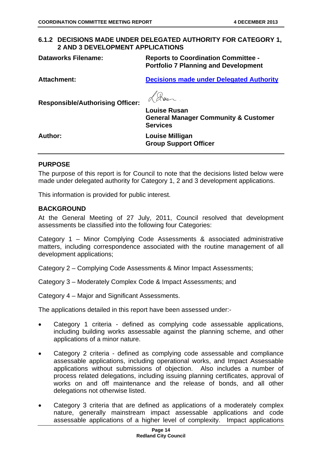#### **6.1.2 DECISIONS MADE UNDER DELEGATED AUTHORITY FOR CATEGORY 1, 2 AND 3 DEVELOPMENT APPLICATIONS**

**Dataworks Filename: Reports to Coordination Committee - Portfolio 7 Planning and Development** 

**Attachment: Decisions made under Delegated Authority**

**Responsible/Authorising Officer:** 

Rus

**Louise Rusan General Manager Community & Customer Services** 

**Author: Louise Milligan Group Support Officer** 

#### **PURPOSE**

The purpose of this report is for Council to note that the decisions listed below were made under delegated authority for Category 1, 2 and 3 development applications.

This information is provided for public interest.

#### **BACKGROUND**

At the General Meeting of 27 July, 2011, Council resolved that development assessments be classified into the following four Categories:

Category 1 – Minor Complying Code Assessments & associated administrative matters, including correspondence associated with the routine management of all development applications;

Category 2 – Complying Code Assessments & Minor Impact Assessments;

Category 3 – Moderately Complex Code & Impact Assessments; and

Category 4 – Major and Significant Assessments.

The applications detailed in this report have been assessed under:-

- Category 1 criteria defined as complying code assessable applications, including building works assessable against the planning scheme, and other applications of a minor nature.
- Category 2 criteria defined as complying code assessable and compliance assessable applications, including operational works, and Impact Assessable applications without submissions of objection. Also includes a number of process related delegations, including issuing planning certificates, approval of works on and off maintenance and the release of bonds, and all other delegations not otherwise listed.
- Category 3 criteria that are defined as applications of a moderately complex nature, generally mainstream impact assessable applications and code assessable applications of a higher level of complexity. Impact applications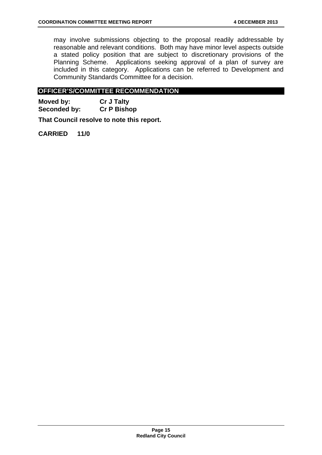may involve submissions objecting to the proposal readily addressable by reasonable and relevant conditions. Both may have minor level aspects outside a stated policy position that are subject to discretionary provisions of the Planning Scheme. Applications seeking approval of a plan of survey are included in this category. Applications can be referred to Development and Community Standards Committee for a decision.

#### **OFFICER'S/COMMITTEE RECOMMENDATION**

**Moved by: Cr J Talty Seconded by: Cr P Bishop** 

**That Council resolve to note this report.** 

**CARRIED 11/0**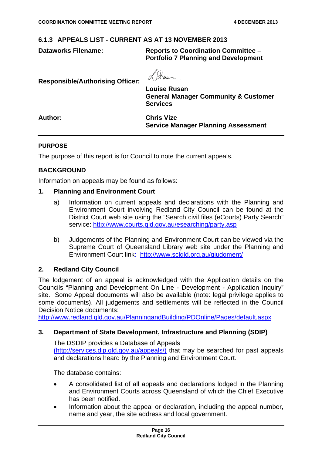#### **6.1.3 APPEALS LIST - CURRENT AS AT 13 NOVEMBER 2013**

**Dataworks Filename: Reports to Coordination Committee – Portfolio 7 Planning and Development** 

**Responsible/Authorising Officer: Louise Rusan General Manager Community & Customer Services Author: Chris Vize Service Manager Planning Assessment** 

#### **PURPOSE**

The purpose of this report is for Council to note the current appeals.

#### **BACKGROUND**

Information on appeals may be found as follows:

#### **1. Planning and Environment Court**

- a) Information on current appeals and declarations with the Planning and Environment Court involving Redland City Council can be found at the District Court web site using the "Search civil files (eCourts) Party Search" service: http://www.courts.qld.gov.au/esearching/party.asp
- b) Judgements of the Planning and Environment Court can be viewed via the Supreme Court of Queensland Library web site under the Planning and Environment Court link: http://www.sclqld.org.au/qjudgment/

#### **2. Redland City Council**

The lodgement of an appeal is acknowledged with the Application details on the Councils "Planning and Development On Line - Development - Application Inquiry" site. Some Appeal documents will also be available (note: legal privilege applies to some documents). All judgements and settlements will be reflected in the Council Decision Notice documents:

http://www.redland.qld.gov.au/PlanningandBuilding/PDOnline/Pages/default.aspx

#### **3. Department of State Development, Infrastructure and Planning (SDIP)**

The DSDIP provides a Database of Appeals (http://services.dip.qld.gov.au/appeals/) that may be searched for past appeals and declarations heard by the Planning and Environment Court.

The database contains:

- A consolidated list of all appeals and declarations lodged in the Planning and Environment Courts across Queensland of which the Chief Executive has been notified.
- Information about the appeal or declaration, including the appeal number, name and year, the site address and local government.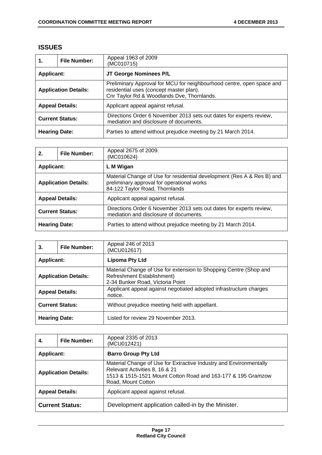#### **ISSUES**

| 1.                          | <b>File Number:</b> | Appeal 1963 of 2009<br>(MC010715)                                                                                                                              |
|-----------------------------|---------------------|----------------------------------------------------------------------------------------------------------------------------------------------------------------|
| <b>Applicant:</b>           |                     | JT George Nominees P/L                                                                                                                                         |
| <b>Application Details:</b> |                     | Preliminary Approval for MCU for neighbourhood centre, open space and<br>residential uses (concept master plan).<br>Cnr Taylor Rd & Woodlands Dve, Thornlands. |
| <b>Appeal Details:</b>      |                     | Applicant appeal against refusal.                                                                                                                              |
| <b>Current Status:</b>      |                     | Directions Order 6 November 2013 sets out dates for experts review,<br>mediation and disclosure of documents.                                                  |
| <b>Hearing Date:</b>        |                     | Parties to attend without prejudice meeting by 21 March 2014.                                                                                                  |

| 2.                          | <b>File Number:</b> | Appeal 2675 of 2009.<br>(MC010624)                                                                                                                     |
|-----------------------------|---------------------|--------------------------------------------------------------------------------------------------------------------------------------------------------|
| <b>Applicant:</b>           |                     | L M Wigan                                                                                                                                              |
| <b>Application Details:</b> |                     | Material Change of Use for residential development (Res A & Res B) and<br>preliminary approval for operational works<br>84-122 Taylor Road, Thornlands |
| <b>Appeal Details:</b>      |                     | Applicant appeal against refusal.                                                                                                                      |
| <b>Current Status:</b>      |                     | Directions Order 6 November 2013 sets out dates for experts review,<br>mediation and disclosure of documents.                                          |
| <b>Hearing Date:</b>        |                     | Parties to attend without prejudice meeting by 21 March 2014.                                                                                          |

| 3.                          | <b>File Number:</b> | Appeal 246 of 2013<br>(MCU012617)                                                                                                   |
|-----------------------------|---------------------|-------------------------------------------------------------------------------------------------------------------------------------|
| <b>Applicant:</b>           |                     | <b>Lipoma Pty Ltd</b>                                                                                                               |
| <b>Application Details:</b> |                     | Material Change of Use for extension to Shopping Centre (Shop and<br>Refreshment Establishment)<br>2-34 Bunker Road, Victoria Point |
| <b>Appeal Details:</b>      |                     | Applicant appeal against negotiated adopted infrastructure charges<br>notice.                                                       |
| <b>Current Status:</b>      |                     | Without prejudice meeting held with appellant.                                                                                      |
| <b>Hearing Date:</b>        |                     | Listed for review 29 November 2013.                                                                                                 |

| 4.                          | <b>File Number:</b> | Appeal 2335 of 2013<br>(MCU012421)                                                                                                                                                         |
|-----------------------------|---------------------|--------------------------------------------------------------------------------------------------------------------------------------------------------------------------------------------|
| <b>Applicant:</b>           |                     | <b>Barro Group Pty Ltd</b>                                                                                                                                                                 |
| <b>Application Details:</b> |                     | Material Change of Use for Extractive Industry and Environmentally<br>Relevant Activities 8, 16 & 21<br>1513 & 1515-1521 Mount Cotton Road and 163-177 & 195 Gramzow<br>Road, Mount Cotton |
| <b>Appeal Details:</b>      |                     | Applicant appeal against refusal.                                                                                                                                                          |
| <b>Current Status:</b>      |                     | Development application called-in by the Minister.                                                                                                                                         |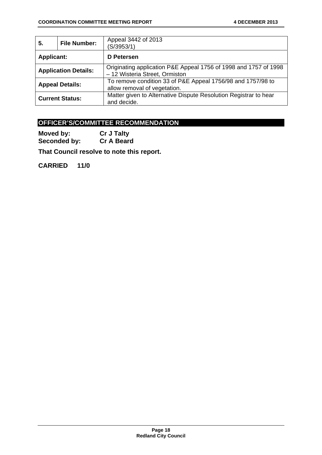| 5.                          | <b>File Number:</b> | Appeal 3442 of 2013<br>(S/3953/1)                                                                  |
|-----------------------------|---------------------|----------------------------------------------------------------------------------------------------|
| <b>Applicant:</b>           |                     | D Petersen                                                                                         |
| <b>Application Details:</b> |                     | Originating application P&E Appeal 1756 of 1998 and 1757 of 1998<br>- 12 Wisteria Street, Ormiston |
| <b>Appeal Details:</b>      |                     | To remove condition 33 of P&E Appeal 1756/98 and 1757/98 to<br>allow removal of vegetation.        |
| <b>Current Status:</b>      |                     | Matter given to Alternative Dispute Resolution Registrar to hear<br>and decide.                    |

#### **OFFICER'S/COMMITTEE RECOMMENDATION**

**Moved by:** Cr J Talty<br> **Seconded by:** Cr A Beard Seconded by:

**That Council resolve to note this report.** 

**CARRIED 11/0**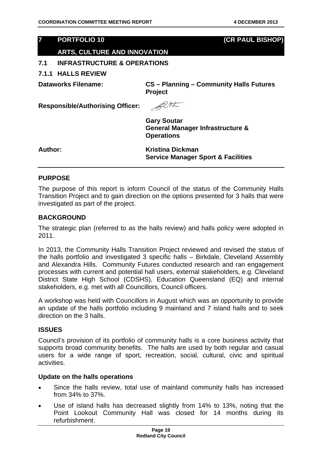#### **7 PORTFOLIO 10 (CR PAUL BISHOP)**

#### **ARTS, CULTURE AND INNOVATION**

#### **7.1 INFRASTRUCTURE & OPERATIONS**

#### **7.1.1 HALLS REVIEW**

**Dataworks Filename: CS – Planning – Community Halls Futures Project** 

**Responsible/Authorising Officer:** 

BUSK

**Gary Soutar General Manager Infrastructure & Operations** 

Author: **Kristina Dickman Service Manager Sport & Facilities** 

#### **PURPOSE**

The purpose of this report is inform Council of the status of the Community Halls Transition Project and to gain direction on the options presented for 3 halls that were investigated as part of the project.

#### **BACKGROUND**

The strategic plan (referred to as the halls review) and halls policy were adopted in 2011.

In 2013, the Community Halls Transition Project reviewed and revised the status of the halls portfolio and investigated 3 specific halls – Birkdale, Cleveland Assembly and Alexandra Hills. Community Futures conducted research and ran engagement processes with current and potential hall users, external stakeholders, e.g. Cleveland District State High School (CDSHS), Education Queensland (EQ) and internal stakeholders, e.g. met with all Councillors, Council officers.

A workshop was held with Councillors in August which was an opportunity to provide an update of the halls portfolio including 9 mainland and 7 island halls and to seek direction on the 3 halls.

#### **ISSUES**

Council's provision of its portfolio of community halls is a core business activity that supports broad community benefits. The halls are used by both regular and casual users for a wide range of sport, recreation, social, cultural, civic and spiritual activities.

#### **Update on the halls operations**

- Since the halls review, total use of mainland community halls has increased from 34% to 37%.
- Use of island halls has decreased slightly from 14% to 13%, noting that the Point Lookout Community Hall was closed for 14 months during its refurbishment.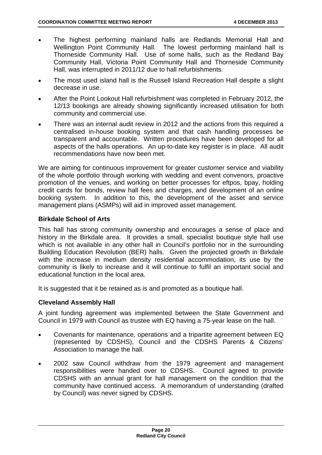- The highest performing mainland halls are Redlands Memorial Hall and Wellington Point Community Hall. The lowest performing mainland hall is Thorneside Community Hall. Use of some halls, such as the Redland Bay Community Hall, Victoria Point Community Hall and Thorneside Community Hall, was interrupted in 2011/12 due to hall refurbishments.
- The most used island hall is the Russell Island Recreation Hall despite a slight decrease in use.
- After the Point Lookout Hall refurbishment was completed in February 2012, the 12/13 bookings are already showing significantly increased utilisation for both community and commercial use.
- There was an internal audit review in 2012 and the actions from this required a centralised in-house booking system and that cash handling processes be transparent and accountable. Written procedures have been developed for all aspects of the halls operations. An up-to-date key register is in place. All audit recommendations have now been met.

We are aiming for continuous improvement for greater customer service and viability of the whole portfolio through working with wedding and event convenors, proactive promotion of the venues, and working on better processes for eftpos, bpay, holding credit cards for bonds, review hall fees and charges, and development of an online booking system. In addition to this, the development of the asset and service management plans (ASMPs) will aid in improved asset management.

#### **Birkdale School of Arts**

This hall has strong community ownership and encourages a sense of place and history in the Birkdale area. It provides a small, specialist boutique style hall use which is not available in any other hall in Council's portfolio nor in the surrounding Building Education Revolution (BER) halls. Given the projected growth in Birkdale with the increase in medium density residential accommodation, its use by the community is likely to increase and it will continue to fulfil an important social and educational function in the local area.

It is suggested that it be retained as is and promoted as a boutique hall.

#### **Cleveland Assembly Hall**

A joint funding agreement was implemented between the State Government and Council in 1979 with Council as trustee with EQ having a 75-year lease on the hall.

- Covenants for maintenance, operations and a tripartite agreement between EQ (represented by CDSHS), Council and the CDSHS Parents & Citizens' Association to manage the hall.
- 2002 saw Council withdraw from the 1979 agreement and management responsibilities were handed over to CDSHS. Council agreed to provide CDSHS with an annual grant for hall management on the condition that the community have continued access. A memorandum of understanding (drafted by Council) was never signed by CDSHS.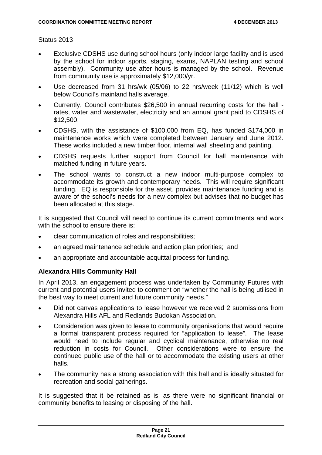#### Status 2013

- Exclusive CDSHS use during school hours (only indoor large facility and is used by the school for indoor sports, staging, exams, NAPLAN testing and school assembly). Community use after hours is managed by the school. Revenue from community use is approximately \$12,000/yr.
- Use decreased from 31 hrs/wk (05/06) to 22 hrs/week (11/12) which is well below Council's mainland halls average.
- Currently, Council contributes \$26,500 in annual recurring costs for the hall rates, water and wastewater, electricity and an annual grant paid to CDSHS of \$12,500.
- CDSHS, with the assistance of \$100,000 from EQ, has funded \$174,000 in maintenance works which were completed between January and June 2012. These works included a new timber floor, internal wall sheeting and painting.
- CDSHS requests further support from Council for hall maintenance with matched funding in future years.
- The school wants to construct a new indoor multi-purpose complex to accommodate its growth and contemporary needs. This will require significant funding. EQ is responsible for the asset, provides maintenance funding and is aware of the school's needs for a new complex but advises that no budget has been allocated at this stage.

It is suggested that Council will need to continue its current commitments and work with the school to ensure there is:

- clear communication of roles and responsibilities;
- an agreed maintenance schedule and action plan priorities; and
- an appropriate and accountable acquittal process for funding.

#### **Alexandra Hills Community Hall**

In April 2013, an engagement process was undertaken by Community Futures with current and potential users invited to comment on "whether the hall is being utilised in the best way to meet current and future community needs."

- Did not canvas applications to lease however we received 2 submissions from Alexandra Hills AFL and Redlands Budokan Association.
- Consideration was given to lease to community organisations that would require a formal transparent process required for "application to lease". The lease would need to include regular and cyclical maintenance, otherwise no real reduction in costs for Council. Other considerations were to ensure the continued public use of the hall or to accommodate the existing users at other halls.
- The community has a strong association with this hall and is ideally situated for recreation and social gatherings.

It is suggested that it be retained as is, as there were no significant financial or community benefits to leasing or disposing of the hall.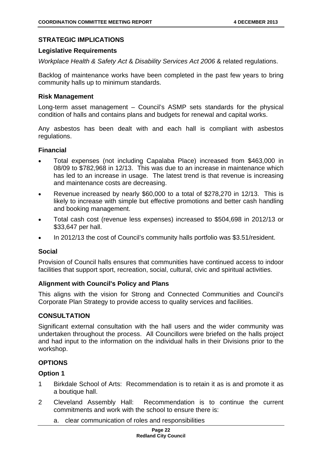#### **STRATEGIC IMPLICATIONS**

#### **Legislative Requirements**

*Workplace Health & Safety Act* & *Disability Services Act 2006* & related regulations.

Backlog of maintenance works have been completed in the past few years to bring community halls up to minimum standards.

#### **Risk Management**

Long-term asset management – Council's ASMP sets standards for the physical condition of halls and contains plans and budgets for renewal and capital works.

Any asbestos has been dealt with and each hall is compliant with asbestos regulations.

#### **Financial**

- Total expenses (not including Capalaba Place) increased from \$463,000 in 08/09 to \$782,968 in 12/13. This was due to an increase in maintenance which has led to an increase in usage. The latest trend is that revenue is increasing and maintenance costs are decreasing.
- Revenue increased by nearly \$60,000 to a total of \$278,270 in 12/13. This is likely to increase with simple but effective promotions and better cash handling and booking management.
- Total cash cost (revenue less expenses) increased to \$504,698 in 2012/13 or \$33,647 per hall.
- In 2012/13 the cost of Council's community halls portfolio was \$3.51/resident.

#### **Social**

Provision of Council halls ensures that communities have continued access to indoor facilities that support sport, recreation, social, cultural, civic and spiritual activities.

#### **Alignment with Council's Policy and Plans**

This aligns with the vision for Strong and Connected Communities and Council's Corporate Plan Strategy to provide access to quality services and facilities.

#### **CONSULTATION**

Significant external consultation with the hall users and the wider community was undertaken throughout the process. All Councillors were briefed on the halls project and had input to the information on the individual halls in their Divisions prior to the workshop.

#### **OPTIONS**

#### **Option 1**

- 1 Birkdale School of Arts: Recommendation is to retain it as is and promote it as a boutique hall.
- 2 Cleveland Assembly Hall: Recommendation is to continue the current commitments and work with the school to ensure there is:
	- a. clear communication of roles and responsibilities